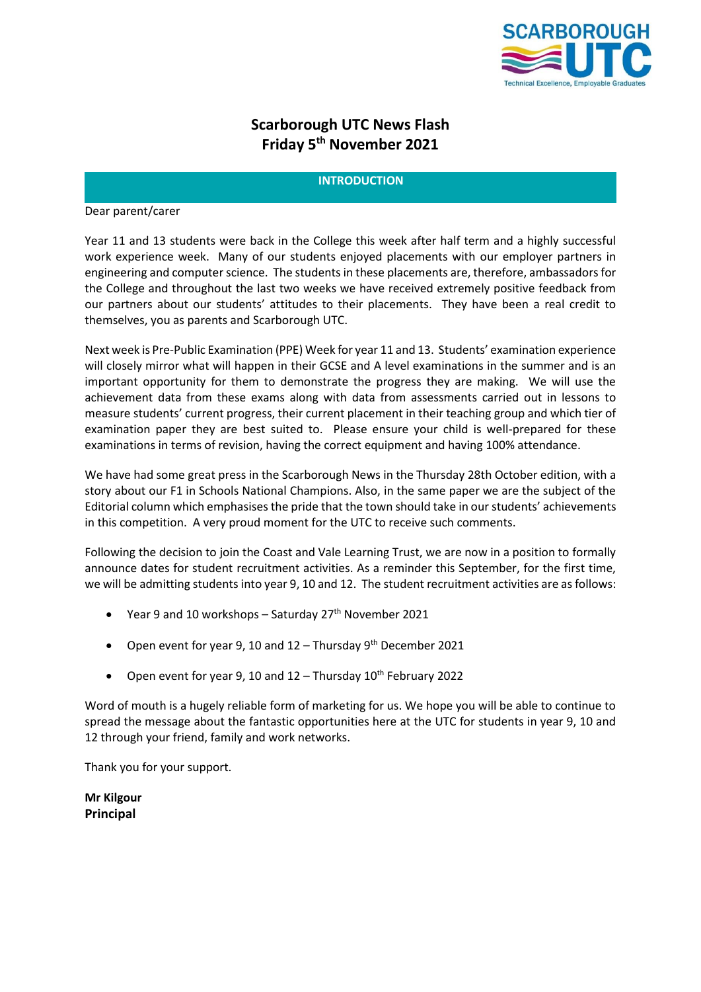

# **Scarborough UTC News Flash Friday 5 th November 2021**

# **INTRODUCTION**

Dear parent/carer

Year 11 and 13 students were back in the College this week after half term and a highly successful work experience week. Many of our students enjoyed placements with our employer partners in engineering and computer science. The students in these placements are, therefore, ambassadors for the College and throughout the last two weeks we have received extremely positive feedback from our partners about our students' attitudes to their placements. They have been a real credit to themselves, you as parents and Scarborough UTC.

Next week is Pre-Public Examination (PPE) Week for year 11 and 13. Students' examination experience will closely mirror what will happen in their GCSE and A level examinations in the summer and is an important opportunity for them to demonstrate the progress they are making. We will use the achievement data from these exams along with data from assessments carried out in lessons to measure students' current progress, their current placement in their teaching group and which tier of examination paper they are best suited to. Please ensure your child is well-prepared for these examinations in terms of revision, having the correct equipment and having 100% attendance.

We have had some great press in the Scarborough News in the Thursday 28th October edition, with a story about our F1 in Schools National Champions. Also, in the same paper we are the subject of the Editorial column which emphasises the pride that the town should take in our students' achievements in this competition. A very proud moment for the UTC to receive such comments.

Following the decision to join the Coast and Vale Learning Trust, we are now in a position to formally announce dates for student recruitment activities. As a reminder this September, for the first time, we will be admitting students into year 9, 10 and 12. The student recruitment activities are as follows:

- Year 9 and 10 workshops Saturday  $27<sup>th</sup>$  November 2021
- Open event for year 9, 10 and  $12 -$  Thursday  $9<sup>th</sup>$  December 2021
- Open event for year 9, 10 and  $12 -$  Thursday  $10<sup>th</sup>$  February 2022

Word of mouth is a hugely reliable form of marketing for us. We hope you will be able to continue to spread the message about the fantastic opportunities here at the UTC for students in year 9, 10 and 12 through your friend, family and work networks.

Thank you for your support.

**Mr Kilgour Principal**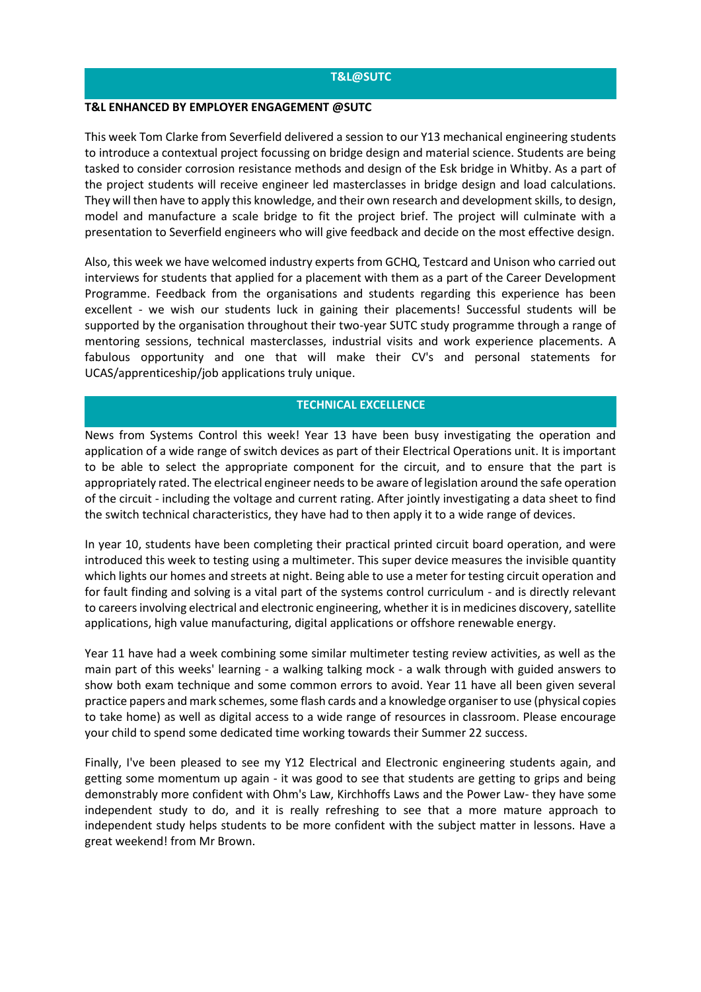## **T&L@SUTC**

#### **T&L ENHANCED BY EMPLOYER ENGAGEMENT @SUTC**

This week Tom Clarke from Severfield delivered a session to our Y13 mechanical engineering students to introduce a contextual project focussing on bridge design and material science. Students are being tasked to consider corrosion resistance methods and design of the Esk bridge in Whitby. As a part of the project students will receive engineer led masterclasses in bridge design and load calculations. They will then have to apply this knowledge, and their own research and development skills, to design, model and manufacture a scale bridge to fit the project brief. The project will culminate with a presentation to Severfield engineers who will give feedback and decide on the most effective design.

Also, this week we have welcomed industry experts from GCHQ, Testcard and Unison who carried out interviews for students that applied for a placement with them as a part of the Career Development Programme. Feedback from the organisations and students regarding this experience has been excellent - we wish our students luck in gaining their placements! Successful students will be supported by the organisation throughout their two-year SUTC study programme through a range of mentoring sessions, technical masterclasses, industrial visits and work experience placements. A fabulous opportunity and one that will make their CV's and personal statements for UCAS/apprenticeship/job applications truly unique.

## **TECHNICAL EXCELLENCE**

News from Systems Control this week! Year 13 have been busy investigating the operation and application of a wide range of switch devices as part of their Electrical Operations unit. It is important to be able to select the appropriate component for the circuit, and to ensure that the part is appropriately rated. The electrical engineer needs to be aware of legislation around the safe operation of the circuit - including the voltage and current rating. After jointly investigating a data sheet to find the switch technical characteristics, they have had to then apply it to a wide range of devices.

In year 10, students have been completing their practical printed circuit board operation, and were introduced this week to testing using a multimeter. This super device measures the invisible quantity which lights our homes and streets at night. Being able to use a meter for testing circuit operation and for fault finding and solving is a vital part of the systems control curriculum - and is directly relevant to careers involving electrical and electronic engineering, whether it is in medicines discovery, satellite applications, high value manufacturing, digital applications or offshore renewable energy.

Year 11 have had a week combining some similar multimeter testing review activities, as well as the main part of this weeks' learning - a walking talking mock - a walk through with guided answers to show both exam technique and some common errors to avoid. Year 11 have all been given several practice papers and mark schemes, some flash cards and a knowledge organiser to use (physical copies to take home) as well as digital access to a wide range of resources in classroom. Please encourage your child to spend some dedicated time working towards their Summer 22 success.

Finally, I've been pleased to see my Y12 Electrical and Electronic engineering students again, and getting some momentum up again - it was good to see that students are getting to grips and being demonstrably more confident with Ohm's Law, Kirchhoffs Laws and the Power Law- they have some independent study to do, and it is really refreshing to see that a more mature approach to independent study helps students to be more confident with the subject matter in lessons. Have a great weekend! from Mr Brown.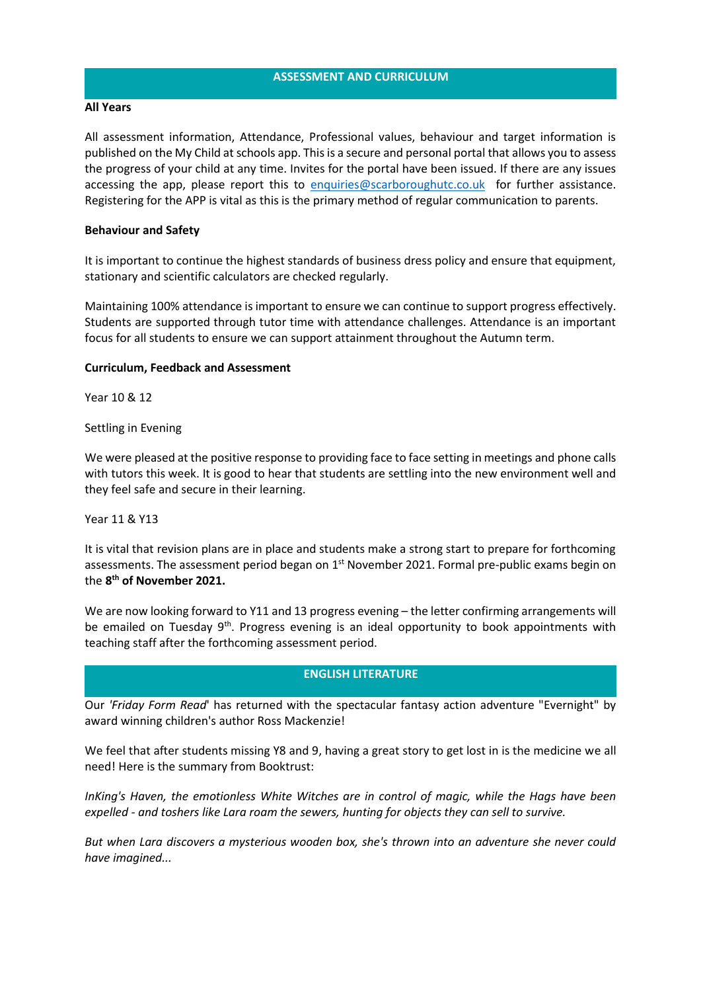## **ASSESSMENT AND CURRICULUM**

## **All Years**

All assessment information, Attendance, Professional values, behaviour and target information is published on the My Child at schools app. This is a secure and personal portal that allows you to assess the progress of your child at any time. Invites for the portal have been issued. If there are any issues accessing the app, please report this to [enquiries@scarboroughutc.co.uk](mailto:enquiries@scarboroughutc.co.uk) for further assistance. Registering for the APP is vital as this is the primary method of regular communication to parents.

# **Behaviour and Safety**

It is important to continue the highest standards of business dress policy and ensure that equipment, stationary and scientific calculators are checked regularly.

Maintaining 100% attendance is important to ensure we can continue to support progress effectively. Students are supported through tutor time with attendance challenges. Attendance is an important focus for all students to ensure we can support attainment throughout the Autumn term.

## **Curriculum, Feedback and Assessment**

Year 10 & 12

Settling in Evening

We were pleased at the positive response to providing face to face setting in meetings and phone calls with tutors this week. It is good to hear that students are settling into the new environment well and they feel safe and secure in their learning.

Year 11 & Y13

It is vital that revision plans are in place and students make a strong start to prepare for forthcoming assessments. The assessment period began on 1<sup>st</sup> November 2021. Formal pre-public exams begin on the **8 th of November 2021.** 

We are now looking forward to Y11 and 13 progress evening – the letter confirming arrangements will be emailed on Tuesday  $9<sup>th</sup>$ . Progress evening is an ideal opportunity to book appointments with teaching staff after the forthcoming assessment period.

#### **ENGLISH LITERATURE**

Our *'Friday Form Read*' has returned with the spectacular fantasy action adventure "Evernight" by award winning children's author Ross Mackenzie!

We feel that after students missing Y8 and 9, having a great story to get lost in is the medicine we all need! Here is the summary from Booktrust:

*InKing's Haven, the emotionless White Witches are in control of magic, while the Hags have been expelled - and toshers like Lara roam the sewers, hunting for objects they can sell to survive.*

*But when Lara discovers a mysterious wooden box, she's thrown into an adventure she never could have imagined...*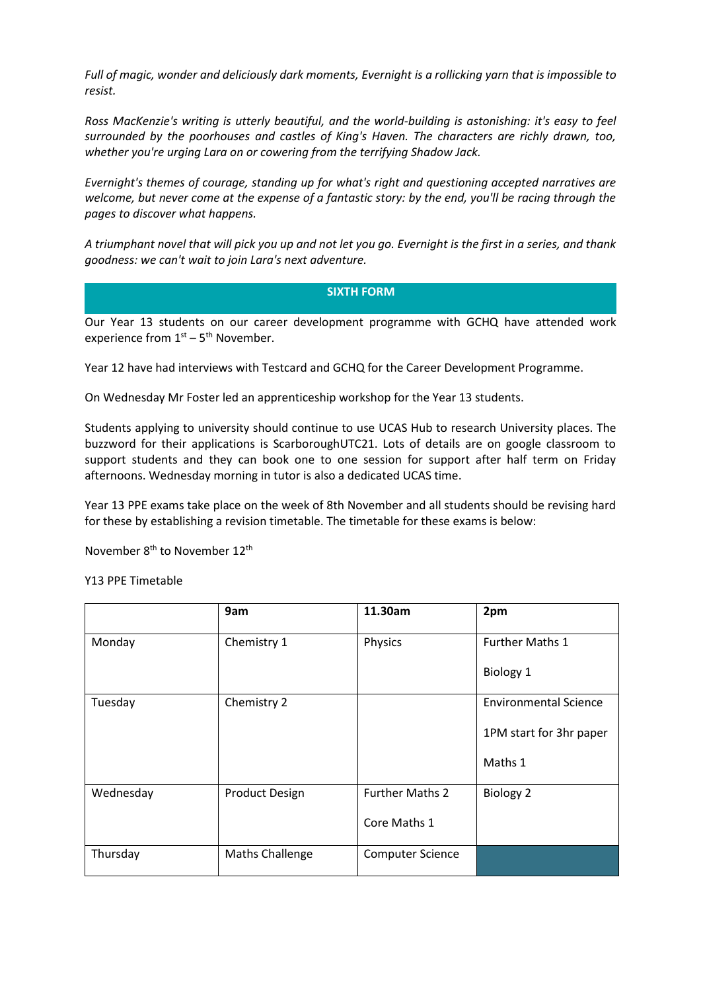*Full of magic, wonder and deliciously dark moments, Evernight is a rollicking yarn that is impossible to resist.*

*Ross MacKenzie's writing is utterly beautiful, and the world-building is astonishing: it's easy to feel surrounded by the poorhouses and castles of King's Haven. The characters are richly drawn, too, whether you're urging Lara on or cowering from the terrifying Shadow Jack.*

*Evernight's themes of courage, standing up for what's right and questioning accepted narratives are welcome, but never come at the expense of a fantastic story: by the end, you'll be racing through the pages to discover what happens.*

*A triumphant novel that will pick you up and not let you go. Evernight is the first in a series, and thank goodness: we can't wait to join Lara's next adventure.*

# **SIXTH FORM**

Our Year 13 students on our career development programme with GCHQ have attended work experience from  $1<sup>st</sup> - 5<sup>th</sup>$  November.

Year 12 have had interviews with Testcard and GCHQ for the Career Development Programme.

On Wednesday Mr Foster led an apprenticeship workshop for the Year 13 students.

Students applying to university should continue to use UCAS Hub to research University places. The buzzword for their applications is ScarboroughUTC21. Lots of details are on google classroom to support students and they can book one to one session for support after half term on Friday afternoons. Wednesday morning in tutor is also a dedicated UCAS time.

Year 13 PPE exams take place on the week of 8th November and all students should be revising hard for these by establishing a revision timetable. The timetable for these exams is below:

November 8<sup>th</sup> to November 12<sup>th</sup>

Y13 PPE Timetable

|           | 9am                    | 11.30am                 | 2pm                          |
|-----------|------------------------|-------------------------|------------------------------|
| Monday    | Chemistry 1            | Physics                 | <b>Further Maths 1</b>       |
|           |                        |                         | Biology 1                    |
| Tuesday   | Chemistry 2            |                         | <b>Environmental Science</b> |
|           |                        |                         | 1PM start for 3hr paper      |
|           |                        |                         | Maths 1                      |
| Wednesday | <b>Product Design</b>  | <b>Further Maths 2</b>  | <b>Biology 2</b>             |
|           |                        | Core Maths 1            |                              |
| Thursday  | <b>Maths Challenge</b> | <b>Computer Science</b> |                              |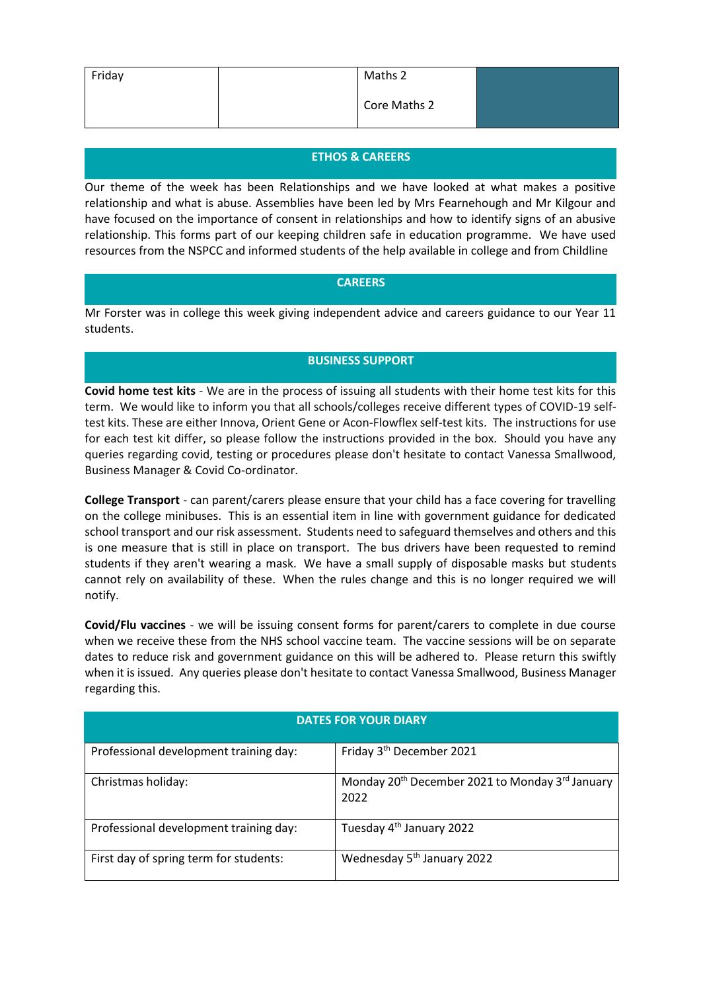| Friday | Maths 2      |  |
|--------|--------------|--|
|        | Core Maths 2 |  |

# **ETHOS & CAREERS**

Our theme of the week has been Relationships and we have looked at what makes a positive relationship and what is abuse. Assemblies have been led by Mrs Fearnehough and Mr Kilgour and have focused on the importance of consent in relationships and how to identify signs of an abusive relationship. This forms part of our keeping children safe in education programme. We have used resources from the NSPCC and informed students of the help available in college and from Childline

# **CAREERS**

Mr Forster was in college this week giving independent advice and careers guidance to our Year 11 students.

# **BUSINESS SUPPORT**

**Covid home test kits** - We are in the process of issuing all students with their home test kits for this term. We would like to inform you that all schools/colleges receive different types of COVID-19 selftest kits. These are either Innova, Orient Gene or Acon-Flowflex self-test kits. The instructions for use for each test kit differ, so please follow the instructions provided in the box. Should you have any queries regarding covid, testing or procedures please don't hesitate to contact Vanessa Smallwood, Business Manager & Covid Co-ordinator.

**College Transport** - can parent/carers please ensure that your child has a face covering for travelling on the college minibuses. This is an essential item in line with government guidance for dedicated school transport and our risk assessment. Students need to safeguard themselves and others and this is one measure that is still in place on transport. The bus drivers have been requested to remind students if they aren't wearing a mask. We have a small supply of disposable masks but students cannot rely on availability of these. When the rules change and this is no longer required we will notify.

**Covid/Flu vaccines** - we will be issuing consent forms for parent/carers to complete in due course when we receive these from the NHS school vaccine team. The vaccine sessions will be on separate dates to reduce risk and government guidance on this will be adhered to. Please return this swiftly when it is issued. Any queries please don't hesitate to contact Vanessa Smallwood, Business Manager regarding this.

| <b>DATES FOR YOUR DIARY</b>            |                                                                                 |  |  |
|----------------------------------------|---------------------------------------------------------------------------------|--|--|
| Professional development training day: | Friday 3 <sup>th</sup> December 2021                                            |  |  |
| Christmas holiday:                     | Monday 20 <sup>th</sup> December 2021 to Monday 3 <sup>rd</sup> January<br>2022 |  |  |
| Professional development training day: | Tuesday 4 <sup>th</sup> January 2022                                            |  |  |
| First day of spring term for students: | Wednesday 5 <sup>th</sup> January 2022                                          |  |  |